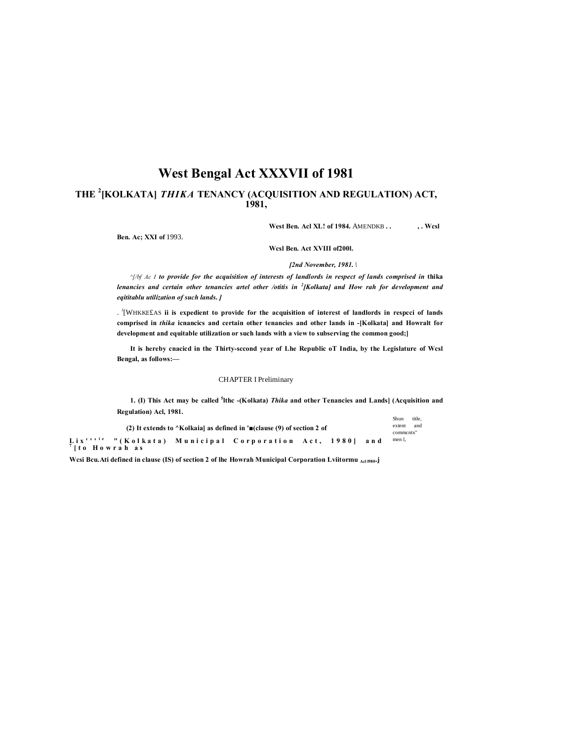# West Bengal Act XXXVII of 1981

## THE <sup>2</sup>[KOLKATA] THIKA TENANCY (ACQUISITION AND REGULATION) ACT, 1981,

Ben. Ac; XXI of 1993.

West Ben. Acl XL! of 1984. AMENDKB.. , . Wesl

Wesl Ben. Act XVIII of 2001.

## [2nd November, 1981.]

 $\gamma$ [/bf Ac I to provide for the acquisition of interests of landlords in respect of lands comprised in thika lenancies and certain other tenancies artel other /otitis in  $^{2}$ [Kolkata] and How rah for development and eqititablu utilization of such lands. J

. <sup>I</sup>[WHKKE£AS ii is expedient to provide for the acquisition of interest of landlords in respeci of lands comprised in thika icnancics and certain other tenancies and other lands in -[Kolkata] and Howralt for development and equitable utilization or such lands with a view to subserving the common good;]

It is hereby cnacicd in the Thirty-sccond year of Lhe Republic oT India, by the Legislature of Wcsl Bengal, as follows:-

## **CHAPTER I Preliminary**

1. (I) This Act may be called <sup>5</sup>lthc -(Kolkata) Thika and other Tenancies and Lands] (Acquisition and Regulation) Acl, 1981. Shun title

| (2) It extends to $\wedge$ Kolkaia] as defined in ' $\blacksquare$ (clause (9) of section 2 of     |  |  |  |        |  |  |  |  |  |  |  |  |
|----------------------------------------------------------------------------------------------------|--|--|--|--------|--|--|--|--|--|--|--|--|
|                                                                                                    |  |  |  |        |  |  |  |  |  |  |  |  |
| Lix''' <sup>ic</sup> "(Kolkata) Municipal Corporation Act, 1980] and<br><sup>7</sup> [to Howrah as |  |  |  | men I, |  |  |  |  |  |  |  |  |

Wesi Beu. Ati defined in clause (IS) of section 2 of lhe Howrah Municipal Corporation Lviitormu Acl 1980-j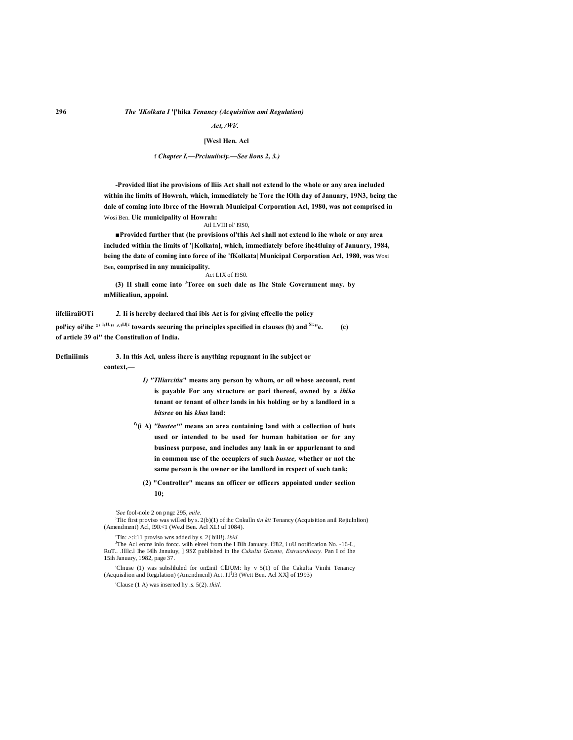## The 'IKolkata I' ['hika Tenancy (Acquisition ami Regulation)

#### $Act, /Wi.$

## [Wesl Hen. Acl

#### f Chapter I,-Prciuuiiwiy.-See lions 2, 3.)

-Provided Iliat ihe provisions of Iliis Act shall not extend lo the whole or any area included within ihe limits of Howrah, which, immediately he Tore the lOlh day of January, 19N3, being the dale of coming into Ibrce of the Howrah Municipal Corporation Acl, 1980, was not comprised in Wosi Ben. Uic municipality ol Howrah:

Atl LVIII ol' I9S0,

Provided further that (he provisions ol'this Acl shall not extend lo ihe whole or any area included within the limits of '[Kolkata], which, immediately before ihc4tluiny of January, 1984, being the date of coming into force of ihe 'fKolkata| Municipal Corporation Acl, 1980, was Wosi Ben, comprised in any municipality.

Act LIX of 19S0.

(3) II shall eome into <sup>J</sup>Torce on such dale as Ihc Stale Government may. by mMilicaliun, appoinl.

2. Ii is hereby declared thai ibis Act is for giving effecllo the policy *iifcliiraiiOTi* pol'icy oi'ihc  $\circ$ <sup>1</sup> <sup>hLn</sup>  $\wedge$ <sup>tLle</sup> towards securing the principles specified in clauses (b) and <sup>Sl; 11</sup>e.  $\left( \text{c} \right)$ of article 39 oi" the Constitulion of India.

**Definiiimis** 3. In this Acl, unless ihere is anything repugnant in ihe subject or context,-

- I) "Tiliarcitia" means any person by whom, or oil whose aecounl, rent is payable For any structure or pari thereof, owned by a ihika tenant or tenant of olher lands in his holding or by a landlord in a bitsree on his khas land:
- $f'(i A)$  "bustee"" means an area containing land with a collection of huts used or intended to be used for human habitation or for any business purpose, and includes any lank in or appurlenant to and in common use of the occupiers of such bustee, whether or not the same person is the owner or ihe landlord in respect of such tank;
	- (2) "Controller" means an officer or officers appointed under seelion  $10;$

'See fool-nole 2 on pngc 295, mile.

Tlic first proviso was willed by s. 2(b)(1) of the Cnkulln tin kit Tenancy (Acquisition anil Rejtulnlion) (Amendment) Acl, I9R<1 (We.d Ben. Acl XL! uf 1084).

'Tin: >:i:11 proviso wns added by s. 2( bill!). ibid.

The Acl enme inlo force. wilh eireel from the I Blh January. 1'J82, i uU notification No. -16-L, RuT.. .Illlc.l Ihe I4lh Jnnuiuy, ] 9SZ published in Ihe Cukultu Gazette, Extraordinary. Pan I of Ihe 15ih January, 1982, page 37.

'Clnuse (1) was subsliluted for onfinil CIJUM: hy v 5(1) of the Cakulta Vinihi Tenancy (Acquisition and Regulation) (Amendment) Act.  $I J^{[1]}3$  (Wett Ben. Act XX) of 1993)

'Clause (1 A) was inserted hy .s. 5(2). thitl.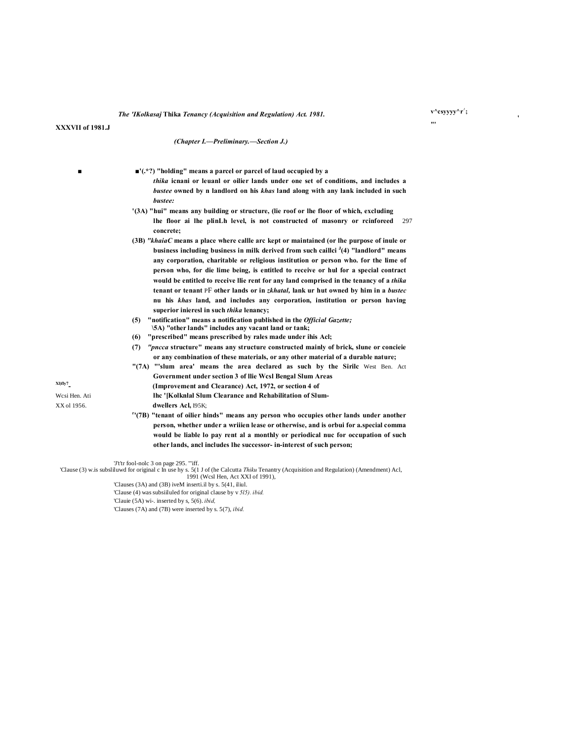## The 'IKolkasaj Thika Tenancy (Acquisition and Regulation) Act. 1981.

XI)fly7

## (Chapter I.-Preliminary,-Section J.)

 $\blacksquare$ '(.\*?) "holding" means a parcel or parcel of laud occupied by a thika icnani or leuanl or oilier lands under one set of conditions, and includes a bustee owned by n landlord on his khas land along with any lank included in such hustee: '(3A) "hui" means any building or structure, (lie roof or lhe floor of which, excluding lhe floor ai lhe plinLh level, is not constructed of masonry or rcinforeed 297 concrete: (3B) "khaiaC means a place where callle arc kept or maintained (or lhe purpose of inule or business including business in milk derived from such caillci<sup>J</sup>(4) "landlord" means any corporation, charitable or religious institution or person who. for the lime of person who, for die lime being, is entitled to receive or hul for a special contract would be entitled to receive llie rent for any land comprised in the tenancy of a thika tenant or tenant PF other lands or in *zkhatal*, lank ur hut owned by him in a bustec nu his khas land, and includes any corporation, institution or person having superior inieresl in such thika lenancy; (5) "notification" means a notification published in the Official Gazette; \5A) "other lands" includes any vacant land or tank; (6) "prescribed" means prescribed by rales made under ihis Acl; (7) "pncca structure" means any structure constructed mainly of brick, slune or concieie or any combination of these materials, or any other material of a durable nature; "(7A) "'slum area' means the area declared as such by the Sirilc West Ben. Act Government under section 3 of Ilie Wcsl Bengal Slum Areas (Improvement and Clearance) Act, 1972, or section 4 of lhc '[Kolknlal Slum Clearance and Rehabilitation of Slum-Wesi Hen Ati XX ol 1956 dwellers Acl. 195K: <sup>r</sup>'(7B) "tenant of oilier hinds" means any person who occupies other lands under another person, whether under a wriiien lease or otherwise, and is orbui for a special comma would be liable lo pay rent al a monthly or periodical nuc for occupation of such other lands, ancl includes lhe successor- in-interest of such person;

Tttr fool-nolc 3 on page 295. "iff.

'Clause (3) w.is subslituwd for original c In use hy s. 5(1 J of (he Calcutta *Thiku* Tenantry (Acquisition and Regulation) (Amendment) Acl,<br>1991 (Wcsl Hen, Act XXI of 1991),

'Clauses (3A) and (3B) iveM inserti.il by s. 5(41, iliul. 'Clause (4) was subsiiluled for original clause by v 515). ibid.

'Clauie (5A) wi-. inserted by s, 5(6). ibid,

'Clauses (7A) and (7B) were inserted by s. 5(7), ibid.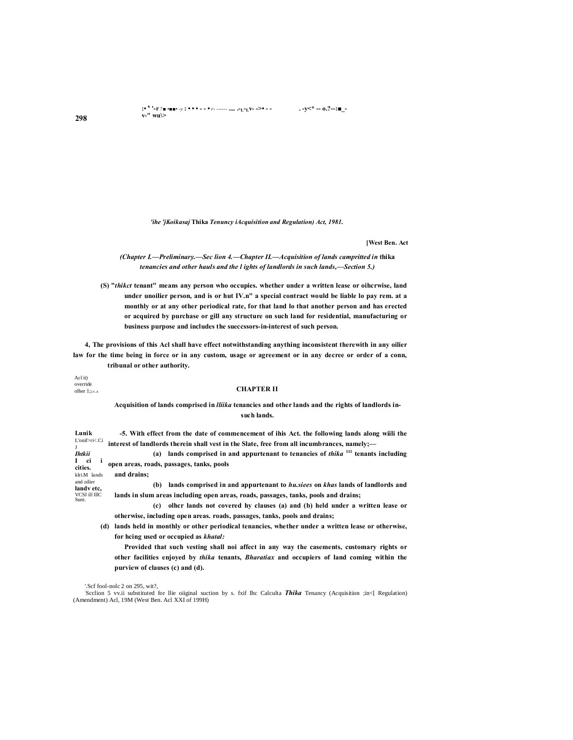$\hspace*{1.5in} : \hspace*{1.5in} \mathbb{F} \hspace*{1.5in} \mathbb{F} \hspace*{1.5in} \mathbb{F} \hspace*{1.5in} \mathbb{F} \hspace*{1.5in} \mathbb{F} \hspace*{1.5in} \mathbb{F} \hspace*{1.5in} \mathbb{F} \hspace*{1.5in} \mathbb{F} \hspace*{1.5in} \mathbb{F} \hspace*{1.5in} \mathbb{F} \hspace*{1.5in} \mathbb{F} \hspace*{1.5in} \mathbb{F} \hspace*{1.5in} \mathbb{F} \$  $v$ -" wu\>

 $-y<^* - 0.? -: \blacksquare$ 

'ihe 'jKoikasaj Thika Tenuncy iAcquisition and Regulation) Act, 1981.

[West Ben. Act

(Chapter I.—Preliminary.—Sec lion 4.—Chapter II.—Acquisition of lands campritted in thika tenancies and other hauls and the l ights of landlords in such lands,—Section 5.)

(S) "thikct tenant" means any person who occupies. whether under a written lease or oihcrwise, land under unoilier person, and is or hut IV.n" a special contract would be liable lo pay rem. at a monthly or at any other periodical rate, for that land lo that another person and has erected or acquired by purchase or gill any structure on such land for residential, manufacturing or business purpose and includes the suecessors-in-interest of such person.

4, The provisions of this Acl shall have effect notwithstanding anything inconsistent therewith in any oilier law for the time being in force or in any custom, usage or agreement or in any decree or order of a conn, tribunal or other authority.

 $\text{Acl}$  it) override olher 1:LV.A

## **CHAPTER II**

Acquisition of lands comprised in *Iliika* tenancies and other lands and the rights of landlords insuch lands.

| Lunik<br>L'onif>ri<.Ci<br>$\bf{I}$ | -5. With effect from the date of commencement of ihis Act, the following lands along willi the<br>interest of landlords therein shall vest in the Slate, free from all incumbrances, namely;— |  |  |  |  |  |  |  |  |  |  |  |  |
|------------------------------------|-----------------------------------------------------------------------------------------------------------------------------------------------------------------------------------------------|--|--|--|--|--|--|--|--|--|--|--|--|
| Ihtkii                             | lands comprised in and appurtenant to tenancies of <i>thika</i> $\frac{1}{11}$ tenants including<br>(a)                                                                                       |  |  |  |  |  |  |  |  |  |  |  |  |
| I ci<br>cities.                    | open areas, roads, passages, tanks, pools                                                                                                                                                     |  |  |  |  |  |  |  |  |  |  |  |  |
| klri.M lands                       | and drains;                                                                                                                                                                                   |  |  |  |  |  |  |  |  |  |  |  |  |
| and oilier<br>landy etc,           | (b) lands comprised in and appurtenant to <i>husiees</i> on <i>khas</i> lands of landlords and                                                                                                |  |  |  |  |  |  |  |  |  |  |  |  |
| VCSI ill IIIC<br>Sunt.             | lands in slum areas including open areas, roads, passages, tanks, pools and drains;                                                                                                           |  |  |  |  |  |  |  |  |  |  |  |  |
|                                    | olher lands not covered hy clauses (a) and (b) held under a written lease or<br>(c)                                                                                                           |  |  |  |  |  |  |  |  |  |  |  |  |
|                                    | otherwise, including open areas. roads, passages, tanks, pools and drains;                                                                                                                    |  |  |  |  |  |  |  |  |  |  |  |  |

(d) lands held in monthly or other periodical tenancies, whether under a written lease or otherwise, for heing used or occupied as khatal:

Provided that such vesting shall noi affect in any way the casements, customary rights or other facilities enjoyed by thika tenants, Bharatiax and occupiers of land coming within the purview of clauses (c) and (d).

'.Scf fool-nolc 2 on 295, wit?,<br>Scclion 5 vv.ii substituted for Ilie oiiginal suction by s. fxif Ihc Calculta *Thika* Tenancy (Acquisition ; in<[ Regulation) (Amendment) Acl, 19M (West Ben. Acl XXI of 199H)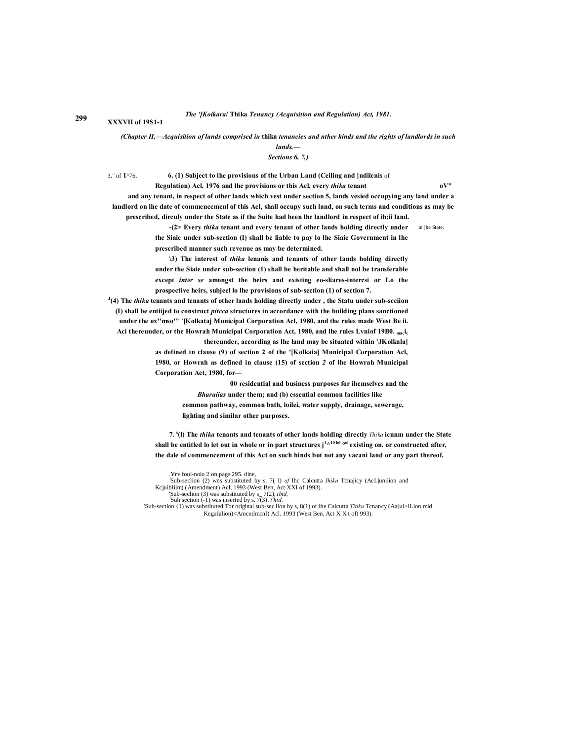#### *The '[Koikara***/ Thika** *Tenancy (Acquisition and Regulation) Act, 1981.*

**XXXVII of 19S1-1**

*(Chapter II,***—***Acquisition of lands comprised in* **thika** *tenancies and nther kinds and the rights of landlords in such* 

*lands.—*

### *Sections 6, 7.)*

3." of **1**^76. **6. (1) Subject to lhe provisions of the Urban Land (Ceiling and [ndilcnis** of

**Regulation) Acl. 1976 and lhc provisions or this Acl, every** *thika* **tenant oV"**

in (he State.

**and any tenant, in respect of other lands which vest under section 5, lands vesied occupying any land under a landlord on lhe date of commenccmcnl of this Acl, shall occupy such land, on such terms and conditions as may be prescribed, dirculy under the State as if the Suite had been lhc landlord in respect of ih;ii land.**

> **-(2> Every** *thika* **tenant and every tenant of other lands holding directly under the Siaic under sub-section (I) shall be liable to pay lo lhe Siaie Government in lhe prescribed manner such revenue as may be determined.**

**\3) The interest of** *thika* **lenanis and tenants of other lands holding directly under the Siaie under sub-section (1) shall be heritable and shall nol be transferable except** *inter se* **amongst the heirs and existing eo-sliares-intercsi or Lo the prospective heirs, subjeel lo lhe provisions of sub-section (1) of section 7.**

**J (4) The** *thika* **tenants and tenants of other lands holding directly under , the Statu under sub-scciion (I) shall be entiijed to construct** *pitcca* **structures in accordance with the building plans sanctioned under the ux''mso"' '[Kolkataj Municipal Corporation Acl, 1980, and the rules made West Be ii. Aci thereunder, or the Howrah Municipal Corporation Act, 1980, and lhe rules Lvniof 19B0. macic**

**thereunder, according as lhe land may be situated within 'JKolkala]**

**as defined in clause (9) of section 2 of the '[Kolkaia] Municipal Corporation Acl, 1980, or Howrah as defined in clause (15) of section** *2* **of lhe Howrah Municipal Corporation Act, 1980, for—**

> **00 residential and business purposes for ihcmselves and the** *Bharaiias* **under them; and (b) essential common facilities like common pathway, common bath, loilei, water supply, drainage, sewerage,**

**lighting and similar other purposes.**

**7. <sup>s</sup> (l) The** *thika* **tenants and tenants of other lands holding directly** *Thika* **icnnm under the State**  shall be entitled lo let out in whole or in part structures  $j^{1 \wedge 10 \text{ kd}}$  o<sup>ul</sup> existing on. or constructed after, **the dale of commencement of this Act on such hinds but not any vacani land or any part thereof.**

.Yrv foul-nolo 2 on page 295. dine, ] Sub-seclion (2) wns substituted by s. 7( I) *of* lhc Calcutta *Ihiku* Tcnajicy (AcL|uniiion and Kcjuibliim) (Amendment) Acl, 1993 (West Ben, Act XXI of 1993). 'Sub-seclion (3) was substituted by s\_ 7(2), *ibid,* <sup>J</sup> Suh section (-1) was inserted by s. 7(3). *t'hid.* 'Sub-section {1) was substituted Tor original sub-sec lion by s, 8(1) of lhe Calcutta *Titikn* Tcnancy (Aa[ui>iLion mid KeguIalion)<Amcndmcnl) Acl. 1993 (West Ben. Act X X t oft 993).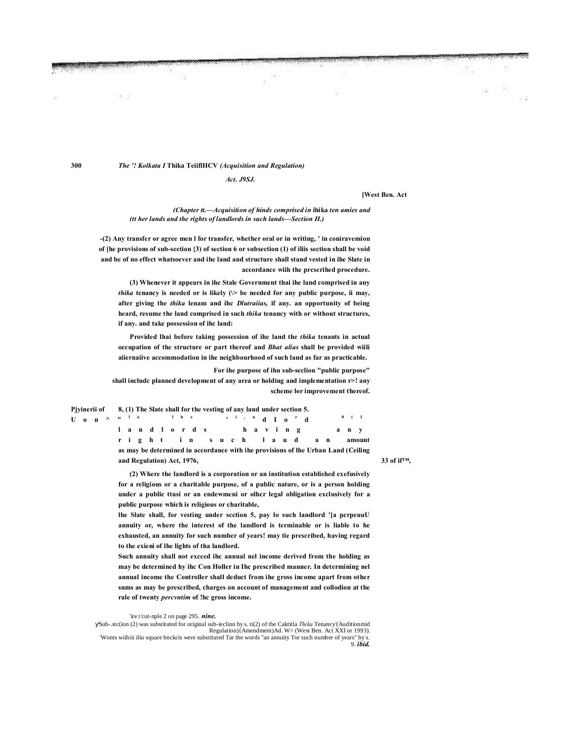## The '! Kolkata I Thika TeiiflHCV (Acquisition and Regulation)

Act. J9SJ.

#### [West Ben. Act

(Chapter tt.—Acquisition of hinds comprised in ihika ten amies and (tt her lands and the rights of landlords in such lands-Section H.)

-(2) Any transfer or agree men I for transfer, whether oral or in writing, ' in coniravemion of [he provisions of sub-section  $\{3\}$ ) of section 6 or subsection  $(1)$  of iliis section shall be void and be of no effect whatsoever and ihe land and structure shall stand vested in ihe Slate in accordance with the prescribed procedure.

(3) Whenever it appears in ihe Stale Government thai ihe land comprised in any *thika* tenancy is needed or is likely  $($  > be needed for any public purpose, ii may, after giving the thika lenam and ihc Dlutraiias, if any. an opportunity of being heard, resume the land comprised in such thika tenancy with or without structures, if any, and take possession of ihc land:

Provided lhai before taking possession of ihe land the thika tenants in actual occupation of the structure or part thereof and Bhat alias shall be provided wiili aiiernaiive accommodation in ihe neighbourhood of such land as far as practicable.

For ihe purpose of ihu sub-seclion "public purpose" shall include planned development of any area or holding and implementation r>! any scheme lor improvement thereof.

|                                                    |  |  |  |  |  | $P$ jyinerii of $8, (1)$ The Slate shall for the vesting of any land under section 5. |  |  |  |  |  |  |  |     |                                                                                   |
|----------------------------------------------------|--|--|--|--|--|---------------------------------------------------------------------------------------|--|--|--|--|--|--|--|-----|-----------------------------------------------------------------------------------|
| Jon A <sup>n Io</sup> lhe, i, nd Io <sup>r</sup> d |  |  |  |  |  |                                                                                       |  |  |  |  |  |  |  | 0(1 |                                                                                   |
|                                                    |  |  |  |  |  | landlords having any                                                                  |  |  |  |  |  |  |  |     |                                                                                   |
|                                                    |  |  |  |  |  | right in such laud an                                                                 |  |  |  |  |  |  |  |     | amount                                                                            |
|                                                    |  |  |  |  |  |                                                                                       |  |  |  |  |  |  |  |     | as may be determined in accordance with ihe provisions of lhe Urban Land (Ceiling |
|                                                    |  |  |  |  |  | and Regulation) Act, 1976,                                                            |  |  |  |  |  |  |  |     |                                                                                   |

33 of if<sup>TM</sup>,

(2) Where the landlord is a corporation or an institution established exefusively for a religious or a charitable purpose, of a public nature, or is a person holding under a public ttusi or an endewmeni or olhcr legal obligation exclusively for a public purpose which is religious or charitable,

lhe Slate shall, for vesting under section 5, pay lo such landlord '[a pcrpeuuU annuity or, where the interest of the landlord is terminable or is liable to he exhausted, an annuity for such number of years! may tie prescribed, having regard to the exieni of lhe lights of tha landlord.

Such annuity shall not excced ihc annual nel income derived from the holding as may be determined hy ihc Con Holler in Ihc prescribed manner. In determining nel annual income the Controller shall deduct from ihe gross income apart from other sums as may be prescribed, charges on account of management and collodion at the rale of twenty *percvntim* of !hc gross income.

#### 'ire t'cot-nple 2 on page 295. nine.

Sub-.stc(ion (2) was substituted for original sub-ieclinn by s. ti(2) of the Caktitla Thika Tenancy'(Auditionmid Regulation){Amendment)Ad. W> (West Ben. Act XXI or 1993). 'Wonts wiihiii iliu square bnckcis were substituted Tar the words "an annuity Tor such number of years" by s  $9.$  ibid.

300

I I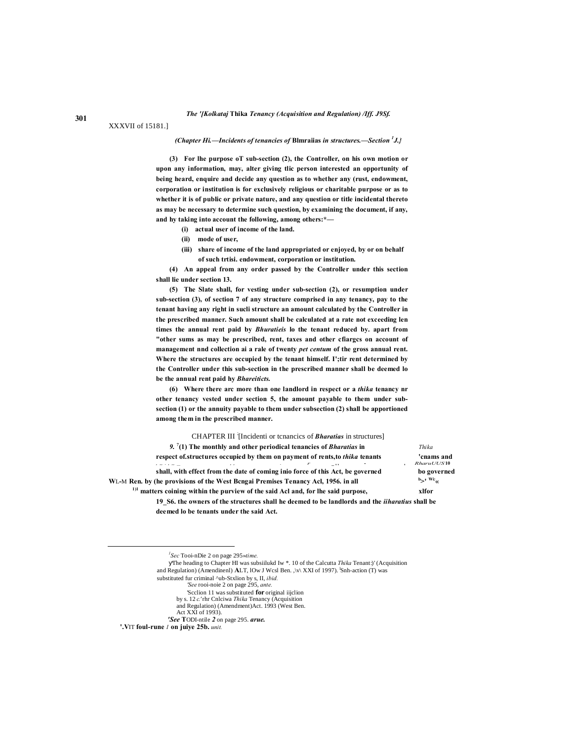## The '[Kolkataj Thika Tenancy (Acquisition and Regulation) /Iff. J9Sf.

XXXVII of 15181.1

## (Chapter Hi.—Incidents of tenancies of Blmraiias in structures.—Section  ${}^{1}J$ .)

(3) For lhe purpose oT sub-section (2), the Controller, on his own motion or upon any information, may, alter giving tlic person interested an opportunity of being heard, enquire and decide any question as to whether any (rust, endowment, corporation or institution is for exclusively religious or charitable purpose or as to whether it is of public or private nature, and any question or title incidental thereto as may be necessary to determine such question, by examining the document, if any, and hy taking into account the following, among others:\*-

- (i) actual user of income of the land.
- (ii) mode of user.
- (iii) share of income of the land appropriated or enjoved, by or on behalf of such trtisi, endowment, corporation or institution.

(4) An appeal from any order passed by the Controller under this section shall lie under section 13.

(5) The Slate shall, for vesting under sub-section (2), or resumption under sub-section (3), of section 7 of any structure comprised in any tenancy, pay to the tenant having any right in sucli structure an amount calculated by the Controller in the prescribed manner. Such amount shall be calculated at a rate not exceeding len times the annual rent paid by Bhuratieis lo the tenant reduced by. apart from "other sums as may be prescribed, rent, taxes and other cfiarges on account of management nnd collection ai a rale of twenty pet centum of the gross annual rent. Where the structures are occupied by the tenant himself. I'; tir rent determined by the Controller under this sub-section in the prescribed manner shall be deemed lo be the annual rent paid hy Bhareiticts.

(6) Where there arc more than one landlord in respect or a thika tenancy nr other tenancy vested under section 5, the amount payable to them under subsection (1) or the annuity payable to them under subsection (2) shall be apportioned among them in the prescribed manner.

CHAPTER III [Incidenti or tenancies of **Bharatias** in structures] 9.  $^2(1)$  The monthly and other periodical tenancies of *Bharatias* in respect of.structures occupied by them on payment of rents, to thika tenants shall, with effect from the date of coming inio force of this Act, be governed WL-M Ren. by (he provisions of the West Bengai Premises Tenancy Acl, 1956. in all <sup>1)1</sup> matters coining within the purview of the said Acl and, for lhe said purpose, 19 S6. the owners of the structures shall he deemed to be landlords and the *iiharatius* shall be

Thika 'cnams and RharuUUS1 bo governed  $b_{>}$ , Wi: xlfor

deemed lo be tenants under the said Act.

- See rooi-noie 2 on page 295, *ante.*
- 'Scclion 11 was substituted for original iijclion
- by s. 12 c'rhr Cnlciwa Thika Tenancy (Acquisition
- and Regulation) (Amendment) Act. 1993 (West Ben.
- Act XXI of 1993).

Sec Tooi-nDie 2 on page 295»time.

The heading to Chapter HI was subsillukd Iw \*. 10 of the Calcutta Thika Tenant:)' (Acquisition and Regulation) (Amendinent) ALT, JOw J West Ben, Avy XXI of 1997). Snh-action (T) was substituted fur criminal ^ub-Stxlion by s. II. ibid.

<sup>&#</sup>x27;See TODI-ntile 2 on page 295. arue.

<sup>&#</sup>x27;.VIT foul-rune / on juive 25b. unit.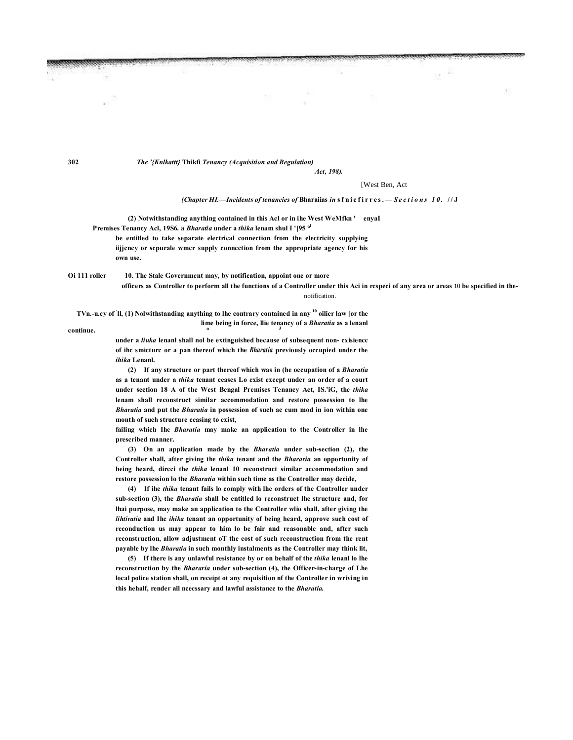## The '{Knlkattt} Thikfi Tenancy (Acquisition and Regulation)

[West Ben, Act

## (Chapter HI.—Incidents of tenancies of Bharaiias in sfnicfirres. - Sections 10. //J

Act. 198).

(2) Notwithstanding anything contained in this Acl or in ihe West WeMfkn' enval Premises Tenancy Acl, 1986. a *Bharatia* under a *thika* lenam shul I '[95<sup>ol</sup>] be entitled to take separate electrical connection from the electricity supplying iijjency or sepurale wmer supply connection from the appropriate agency for his own use.

Oi 111 roller

## 10. The Stale Government may, by notification, appoint one or more

officers as Controller to perform all the functions of a Controller under this Aci in respeci of any area or areas 10 be specified in thenotification.

TVn.-u.cy of II, (1) Nolwithstanding anything to lhe contrary contained in any <sup>10</sup> oilier law [or the lime being in force, llie tenancy of a Bharatia as a lenanl

continue.

under a liuka lenanl shall nol be extinguished because of subsequent non-cxisience of ihc smicture or a pan thereof which the Bharatia previously occupied under the

ihika Lenanl.

(2) If any structure or part thereof which was in (he occupation of a Bharatia as a tenant under a thika tenant ceases Lo exist except under an order of a court under section 18 A of the West Bengal Premises Tenancy Act, IS.'iG, the thika lenam shall reconstruct similar accommodation and restore possession to lhe Bharatia and put the Bharatia in possession of such ac cum mod in ion within one month of such structure ceasing to exist,

failing which Ihe Bharatia may make an application to the Controller in the prescribed manner.

(3) On an application made by the *Bharatia* under sub-section (2), the Controller shall, after giving the thika tenant and the Bhararia an opportunity of being heard, dircci the thika lenanl 10 reconstruct similar accommodation and restore possession to the *Bharatia* within such time as the Controller may decide.

(4) If ihe *thika* tenant fails lo comply with lhe orders of the Controller under sub-section (3), the *Bharatia* shall be entitled lo reconstruct lhe structure and, for lhai purpose, may make an application to the Controller wlio shall, after giving the lihtiratia and Ihc ihika tenant an opportunity of being heard, approve such cost of reconduction us may appear to him lo be fair and reasonable and, after such reconstruction, allow adjustment of the cost of such reconstruction from the rent payable by the *Bharatia* in such monthly instalments as the Controller may think lit.

(5) If there is any unlawful resistance by or on behalf of the *thika* lenand to the reconstruction by the *Bhararia* under sub-section (4), the Officer-in-charge of Lhe local police station shall, on receipt ot any requisition of the Controller in wriving in this hehalf, render all ncecssary and lawful assistance to the Bharatia.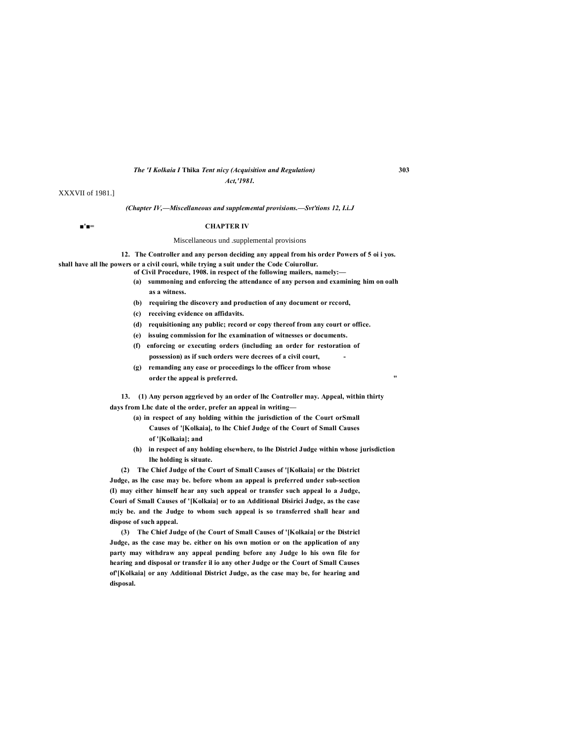## *The 'I Kolkaia I* **Thika** *Tent nicy (Acquisition and Regulation)* **303** *Act,'1981.*

## XXXVII of 1981.]

## *(Chapter IV,—Miscellaneous and supplemental provisions.—Svt'tions 12, I.i.J*

## **■'■= CHAPTER IV**

## Miscellaneous und .supplemental provisions

**12. The Controller and any person deciding any appeal from his order Powers of 5 oi i yos.** 

**shall have all lhe powers or a civil couri, while trying a suit under the Code Coiurollur.**

- **of Civil Procedure, 1908. in respect of the following mailers, namely:—**
	- **(a) summoning and enforcing the attendance of any person and examining him on oalh as a witness.**
	- **(b) requiring the discovery and production of any document or rccord,**
	- **(c) receiving evidence on affidavits.**
	- **(d) requisitioning any public; record or copy thereof from any court or office.**
	- **(e) issuing commission for lhc examination of witnesses or documents.**
	- **(f) enforcing or executing orders (including an order for restoration of possession) as if such orders were decrees of a civil court, -**
	- **(g) remanding any ease or proceedings lo the officer from whose order the appeal is preferred. "**

**13. (1) Any person aggrieved by an order of lhc Controller may. Appeal, within thirty days from Lhc date ol the order, prefer an appeal in writing—**

- **(a) in respect of any holding within the jurisdiction of the Court orSmall Causes of '[Kolkaia], to lhc Chief Judge of the Court of Small Causes of '[Kolkaia]; and**
- **(h) in respect of any holding elsewhere, to lhe Districl Judge within whose jurisdiction lhe holding is situate.**

**(2) The Chief Judge of the Court of Small Causes of '[Kolkaia] or the District Judge, as lhe case may be. before whom an appeal is preferred under sub-section (I) may either himself hear any such appeal or transfer such appeal lo a Judge, Couri of Small Causes of '[Kolkaia] or to an Additional Disirici Judge, as the case m;iy be. and the Judge to whom such appeal is so transferred shall hear and dispose of such appeal.**

**(3) The Chief Judge of (he Court of Small Causes of '[Kolkaia] or the Districl Judge, as the case may be. either on his own motion or on the application of any party may withdraw any appeal pending before any Judge lo his own file for hearing and disposal or transfer il io any other Judge or the Court of Small Causes of'[Kolkaia] or any Additional District Judge, as the case may be, for hearing and disposal.**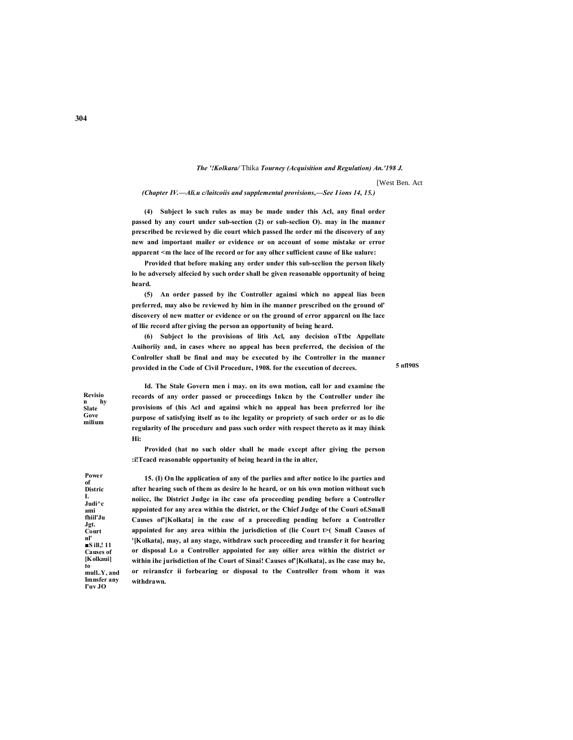## The '!Kolkara/Thika Tourney (Acquisition and Regulation) An.'198 J.

[West Ben. Act

(Chapter IV.—Ali.u c/laitcoiis and supplemental provisions,—See I ions 14, 15.)

(4) Subject lo such rules as may be made under this Acl, any final order passed hy any court under sub-section (2) or sub-seclion O). may in lhe manner prescribed be reviewed by die court which passed lhe order mi the discovery of any new and important mailer or evidence or on account of some mistake or error apparent <m the lace of lhe record or for any olher sufficient cause of like ualure:

Provided that before making any order under this sub-scclion the person likely lo be adversely alfecied by such order shall be given reasonable opportunity of being heard.

An order passed by ihc Controller againsi which no appeal lias been  $(5)$ preferred, may also be reviewed hy him in ihe manner prescribed on the ground ol' discovery ol new matter or evidence or on the ground of error apparent on the lace of llie record after giving the person an opportunity of being heard.

(6) Subject lo the provisions of litis Acl, any decision oTtbc Appellate Auihoriiy and, in cases where no appeal has been preferred, the decision of the Controller shall be final and may be executed by ihc Controller in the manner provided in the Code of Civil Procedure, 1908. for the execution of decrees.

5 nf190S

**Revisio** hy **Slate** Gove milium

Power

Id. The Stale Govern men i may. on its own motion, call lor and examine the records of any order passed or proceedings Inken by the Controller under ihe provisions of (his Acl and againsi which no appeal has been preferred lor ihe purpose of satisfying itself as to ihc legality or propriety of such order or as lo die regularity of lhe procedure and pass such order with respect thereto as it may ihink Hi:

Provided (hat no such older shall he made except after giving the person :i!Tcacd reasonable opportunity of being heard in the in alter,

of Distric L Judi^c ami fhiil'.In Jgt.  $\tilde{C}$ ourt nl'  $\blacksquare$ S ill,! 11 Causes of [Kolkaui]  $mull. Y, and$ Imnsfer any Fuv.IO

15. (I) On lhe application of any of the parlies and after notice lo ihc parties and after hearing such of them as desire lo he heard, or on his own motion without such noiicc, lhe District Judge in ihc case ofa proceeding pending before a Controller appointed for any area within the district, or the Chief Judge of the Couri of.Small Causes of'[Kolkata] in the ease of a proceeding pending before a Controller appointed for any area within the jurisdiction of (lie Court t>( Small Causes of '[Kolkata], may, al any stage, withdraw such proceeding and transfer it for hearing or disposal Lo a Controller appointed for any oilier area within the district or within ihe jurisdiction of lhe Court of Sinai! Causes of [Kolkata], as lhe case may he, or reiransfcr ii forbearing or disposal to the Controller from whom it was withdrawn.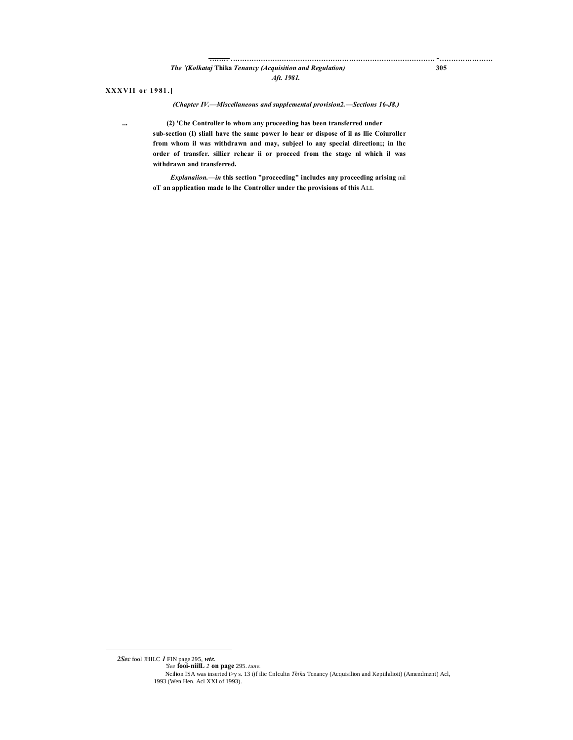(Chapter IV.—Miscellaneous and supplemental provision2.—Sections 16-J8.)

 $\ddotsc$ 

(2) 'Che Controller lo whom any proceeding has been transferred under sub-section (I) sliall have the same power lo hear or dispose of il as llie Coiurollcr from whom il was withdrawn and may, subjeel lo any special direction;; in lhc order of transfer. sillier rehear ii or proceed from the stage nl which il was withdrawn and transferred.

*Explanation.* - *in* this section "proceeding" includes any proceeding arising mil oT an application made lo lhc Controller under the provisions of this ALL

<sup>2</sup>Sec fool JHILC 1 FIN page 295, wtr.

<sup>&#</sup>x27;See fooi-niilL 2 on page 295. tune. Neilion ISA was inserted t>y s. 13 i)f ilic Cnlcultn Thika Tenancy (Acquisilion and Kepiilalioit) (Amendment) Acl, 1993 (Wen Hen. Acl XXI of 1993).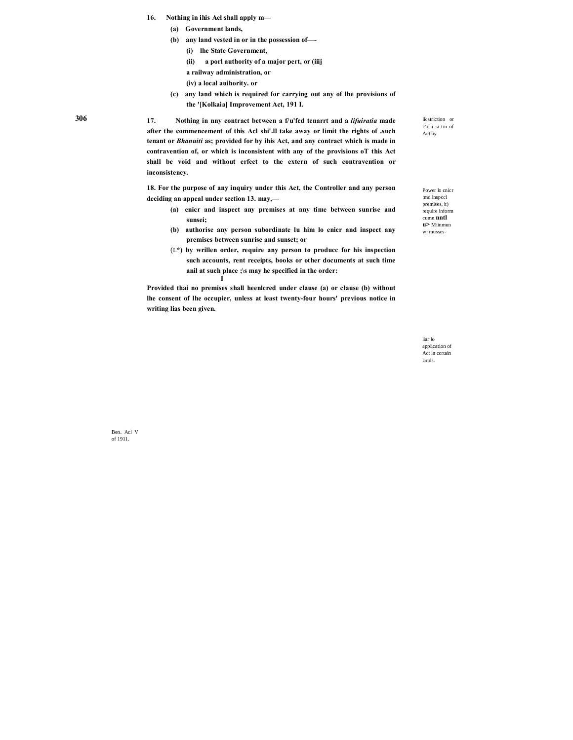- **16. Nothing in ihis Acl shall apply m—**
	- **(a) Government lands,**
	- **(b) any land vested in or in the possession of—-**
		- **(i) lhe State Government,**
		- **(ii) a porl authority of a major pert, or (iiij**
		- **a railway administration, or**
		- **(iv) a local auihority. or**
	- **(c) any land which is required for carrying out any of lhe provisions of the '[Kolkaia] Improvement Act, 191 I.**

**306 17. Nothing in nny contract between a f/u'fcd tenarrt and a** *lifuiratia* **made <b>licstriction** or **after the commencement of this Acl shi'.ll take away or limit the rights of .such tenant or** *Bhanuiti* **as; provided for by ihis Act, and any contract which is made in contravention of, or which is inconsistent with any of the provisions oT this Act shall be void and without erfcct to the extern of such contravention or inconsistency.**

> **18. For the purpose of any inquiry under this Act, the Controller and any person deciding an appeal under scction 13. may,—**

- **(a) enicr and inspect any premises at any time between sunrise and sunsei;**
- **(b) authorise any person subordinate lu him lo enicr and inspect any premises between sunrise and sunset; or**
- (L**\*) by wrillen order, require any person to producc for his inspection such accounts, rent receipts, books or other documents at such time anil at such place ;\s may he specified in the order: I**

**Provided thai no premises shall heenlcred under clause (a) or clause (b) without lhe consent of lhe occupier, unless at least twenty-four hours' previous notice in writing lias been given.**

t:\clu si tin of Act by

Power lo cnicr ;md inspcci premises, it) require inform cumn **nntl u>** Miinmun wi musses-

liar lo application of Act in ccrtain lands.

Ben. Acl V of 1911.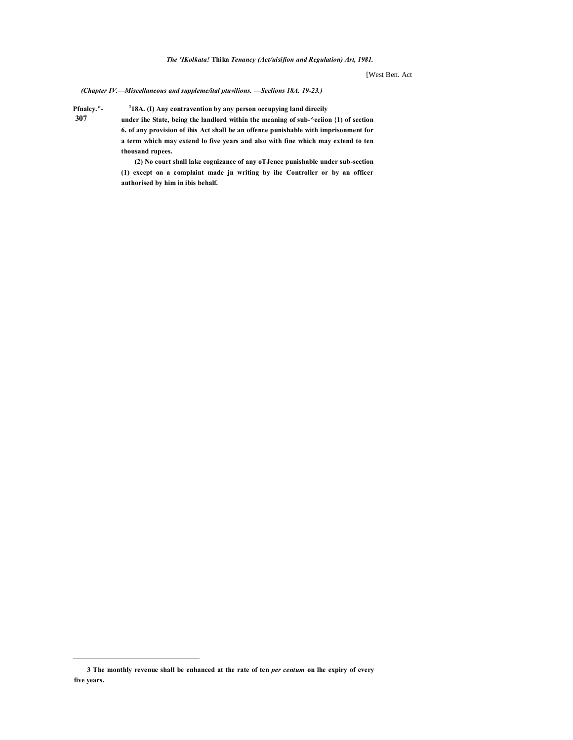[West Ben. Act

## (Chapter IV.-Miscellaneous and suppleme/ital ptuvilions. - Seclions 18A. 19-23.)

Pfnalcy."- $318A$ . (I) Any contravention by any person occupying land direcily 307 under ihe State, being the landlord within the meaning of sub-^eeiion {1) of section 6. of any provision of ihis Act shall be an offence punishable with imprisonment for a term which may extend lo five years and also with fine which may extend to ten thousand rupees.

> (2) No court shall lake cognizance of any oT Jence punishable under sub-section (1) except on a complaint made jn writing by ihe Controller or by an officer authorised by him in ibis behalf.

<sup>3</sup> The monthly revenue shall be enhanced at the rate of ten per centum on lhe expiry of every five years.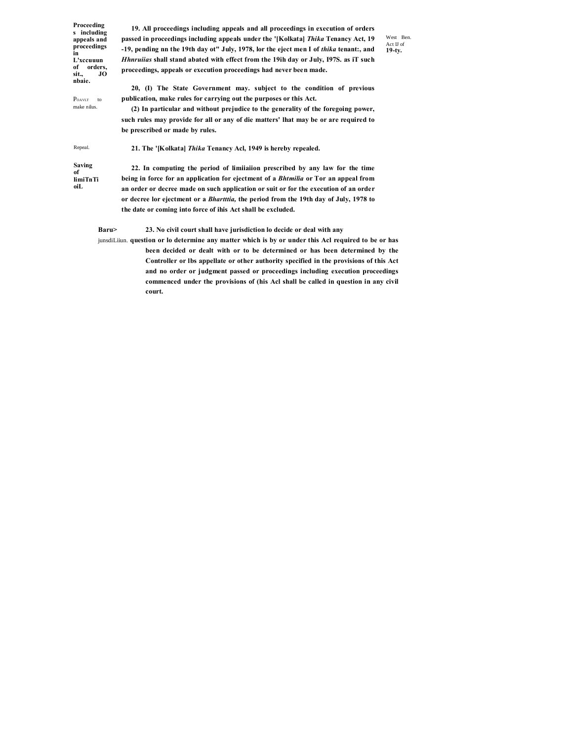**Proceeding s including appeals and proceedings in L'xccuuun of orders,**  *<u>JO</u>* **nbaie.** West Ben. Act IJ of **19-ty.** P<sub>OAVLT</sub> to make nilus. Repeal. **Saving of limiTnTi oiL 19. All proceedings including appeals and all proceedings in execution of orders passed in proceedings including appeals under the '[Kolkata]** *Thika* **Tenancy Act, 19 -19, pending nn the 19th day ot" July, 1978, lor the eject men I of** *thika* **tenant:, and** *Hhnruiias* **shall stand abated with effect from the 19ih day or July, I97S. as iT such proceedings, appeals or execution proceedings had never been made. 20, (I) The State Government may. subject to the condition of previous publication, make rules for carrying out the purposes or this Act. (2) In particular and without prejudice to the generality of the foregoing power, such rules may provide for all or any of die matters' lhat may be or are required to be prescribed or made by rules. 21. The '[Kolkata]** *Thika* **Tenancy Acl, 1949 is hereby repealed. 22. In computing the period of limiiaiion prescribed by any law for the time being in force for an application for ejectment of a** *Bhtmilia* **or Tor an appeal from an order or decree made on such application or suit or for the execution of an order or decree lor ejectment or a** *Bhartttia,* **the period from the 19th day of July, 1978 to the date or coming into force of ihis Act shall be excluded. Baru> 23. No civil court shall have jurisdiction lo decide or deal with any** junsdiLiiun. **question or lo determine any matter which is by or under this Acl required to be or has** 

**been decided or dealt with or to be determined or has been determined by the Controller or lbs appellate or other authority specified in the provisions of this Act and no order or judgment passed or proceedings including execution proceedings commenced under the provisions of (his Acl shall be called in question in any civil court.**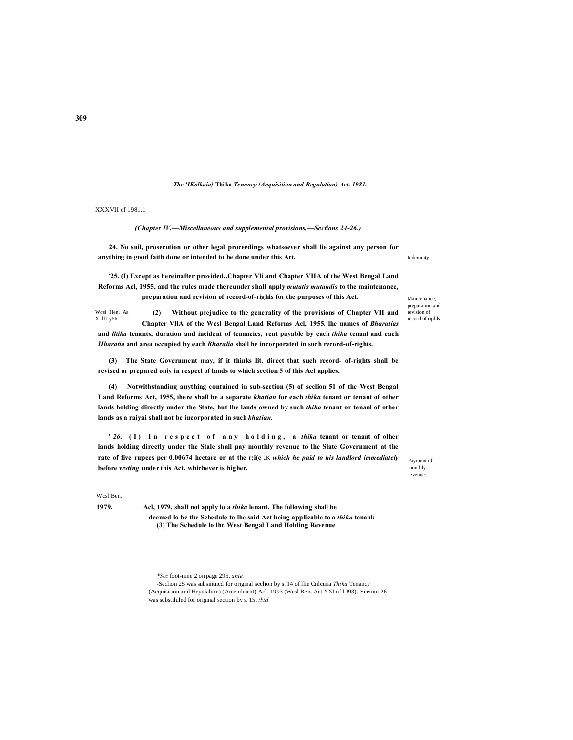*The 'IKolkaia}* **Thika** *Tenancy (Acquisition and Regulation) Act. 1981.*

XXXVII of 1981.1

*(Chapter IV.—Miscellaneous and supplemental provisions.—Sections 24-26.)*

**24. No suil, prosecution or other legal proceedings whatsoever shall lie against any person for anything in good faith done or intended to be done under this Act.**

**: 25. (I) Except as hereinafter provided..Chapter Vli and Chapter VIIA of the West Bengal Land Reforms Acl, 1955, and the rules made thereunder shall apply** *mutatis mutandis* **to the maintenance, preparation and revision of rccord-of-righls for the purposes of this Act.**

Wcsl Hen. Aa X ill I y56 **(2) Without prejudice to the generality of the provisions of Chapter VII and Chapter VllA of the Wcsl Bengal Land Reforms Acl, 1955. lhe names of** *Bharatias* **and** *lltika* **tenants, duration and incident of tenancies, rent payable by each** *thika* **tenanl and each**  *Hharatia* **and area occupied by each** *Bharalia* **shall he incorporated in such record-of-rights.**

**(3) The State Government may, if it thinks lit. direct that such record- of-rights shall be revised or prepared oniy in rcspccl of lands to which section 5 of this Acl applies.**

**(4) Notwithstanding anything contained in sub-section (5) of seclion 51 of the West Bengal Land Reforms Act, 1955, ihere shall be a separate** *khatian* **for each** *thika* **tenant or tenant of other lands holding directly under the State, hut lhe lands owned by such** *thika* **tenant or tenanl of other lands as a raiyai shall not be incorporated in such** *khatian.*

**'** *26***. ( I ) I n r e s p e c t o f a n y h o l d i n g , a** *thika* **tenant or tenant of olher lands holding directly under the Stale shall pay monthly revenue to lhe Slate Government at the rate of five rupees per 0.00674 hectare or at the r;i(c ,**K *which he paid to his landlord immediately* **before** *vesting* **under this Act. whichever is higher.**

Wcsl Ben.

**1979. Acl, 1979, shall nol apply lo a** *thika* **lenant. The following shall be deemed lo be the Schedule to lhe said Act being applicable to a** *thika* **tenanl:— (3) The Schedule lo lhc West Bengal Land Holding Revenue**

Indemnity.

Maintenance, preparation and revision of record of riphls..

Payment of monthly re venue

*<sup>\*</sup>Scc* foot-nine 2 on page 295. *ante.*

<sup>-</sup>Seclion 25 was subsiiiuicd for original seclion by s. 14 of llie Cnlcuiia *Thika* Tenancy (Acquisition and Heyulalion) (Amendment) Acl. 1993 (Wcsl Ben. Aet XXI of l'J93). 'Seetiim 26 was substiluled for original section by s. 15. *ibid.*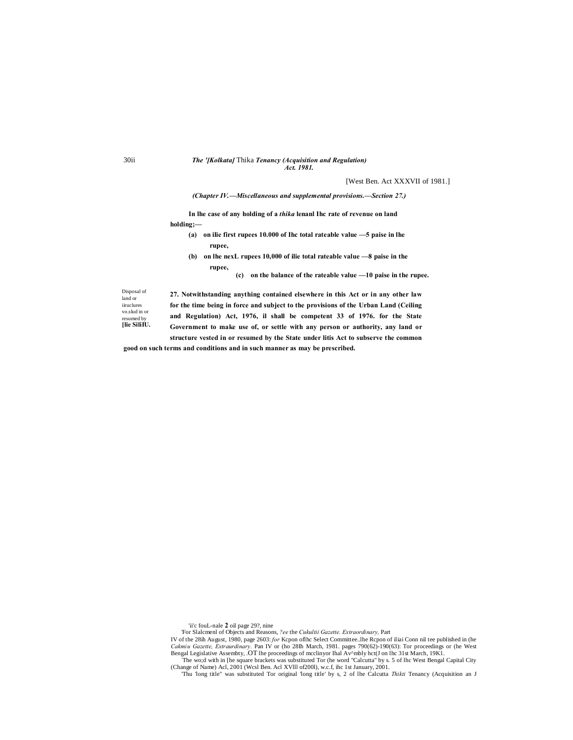#### The '[Kolkata] Thika Tenancy (Acquisition and Regulation) Aci. 1981.

[West Ben. Act XXXVII of 1981.]

(Chapter IV.-Miscellaneous and supplemental provisions.-Section 27.)

In the case of any holding of a thika lenanl Ihc rate of revenue on land

holding;-

- (a) on ilie first rupees 10.000 of Ihc total rateable value -5 paise in lhe rupee,
- (b) on lhe nexL rupees  $10,000$  of ilie total rateable value  $-8$  paise in the rupee,

(c) on the balance of the rateable value  $-10$  paise in the rupee.

Disposal of land or iiruclures vo.slud in or resumed by [lie SiliIU.

27. Notwithstanding anything contained elsewhere in this Act or in any other law for the time being in force and subject to the provisions of the Urban Land (Ceiling and Regulation) Act, 1976, il shall be competent 33 of 1976, for the State Government to make use of, or settle with any person or authority, any land or structure vested in or resumed by the State under litis Act to subserve the common

good on such terms and conditions and in such manner as may be prescribed.

'ii'c fouL-nale 2 oil page 29?, nine<br>For Slalcmenl of Objects and Reasons, ?ee the Cukultii Gazette. Extraordinary, Part

IV of the 28th August, 1980, page 2603: for Kepon offlic Select Committee..lhe Repon of iliai Conn nil tee published in (he Cakmiu Gazette, Extraurdinary. Pan IV or (ho 28lh March, 1981. pages 790(62)-190(63): Tor proceedings or (he West Bengal Legislative Assembty, OT lhe proceedings of mcclinyor Ihal Av^mbly hct(J on lhc 31st March, 19K1.

The wo;d with in [he square brackets was substituted Tor (he word "Calcutta" by s. 5 of lhc West Bengal Capital City (Change of Name) Acl, 2001 (Wcsl Ben. Acl XVIII of 2001), w.c.f, ihc 1st January, 2001.

Thu 'long title" was substituted Tor original 'long title' by s, 2 of lhe Calcutta Thikti Tenancy (Acquisition an J

30ii